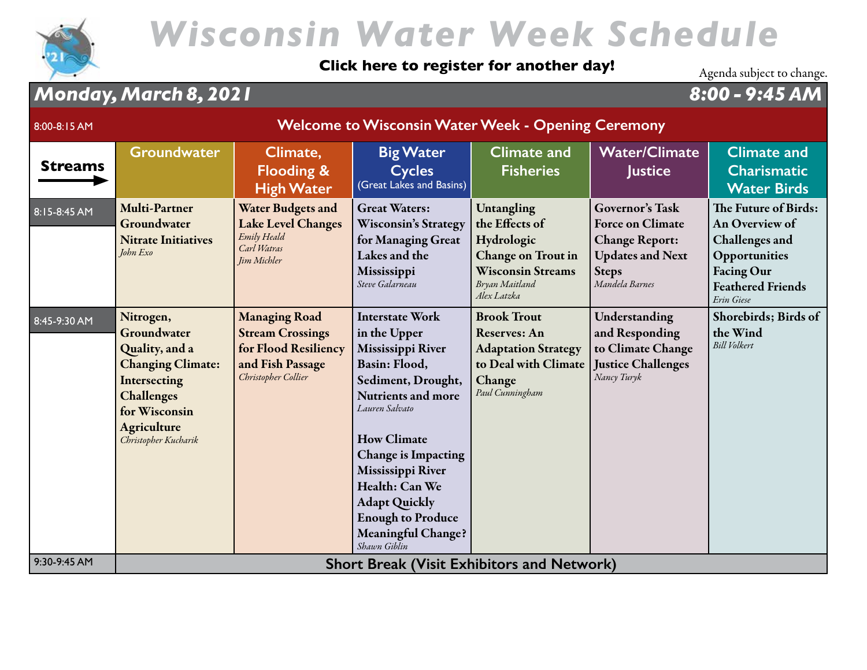

### **[Click here to register for another day!](https://wisconsinwaterweek.swoogo.com/wisconsinwaterweek)** Agenda subject to change.

### *Monday, March 8, 2021 8:00 - 9:45 AM*

| 8:00-8:15 AM   | <b>Welcome to Wisconsin Water Week - Opening Ceremony</b>                                                                                                           |                                                                                                                    |                                                                                                                                                                                                                                                                                                                                               |                                                                                                                                      |                                                                                                                                         |                                                                                                                                                 |  |
|----------------|---------------------------------------------------------------------------------------------------------------------------------------------------------------------|--------------------------------------------------------------------------------------------------------------------|-----------------------------------------------------------------------------------------------------------------------------------------------------------------------------------------------------------------------------------------------------------------------------------------------------------------------------------------------|--------------------------------------------------------------------------------------------------------------------------------------|-----------------------------------------------------------------------------------------------------------------------------------------|-------------------------------------------------------------------------------------------------------------------------------------------------|--|
| <b>Streams</b> | <b>Groundwater</b>                                                                                                                                                  | Climate,<br><b>Flooding &amp;</b><br><b>High Water</b>                                                             | <b>Big Water</b><br><b>Cycles</b><br>(Great Lakes and Basins)                                                                                                                                                                                                                                                                                 | <b>Climate and</b><br><b>Fisheries</b>                                                                                               | <b>Water/Climate</b><br><b>Justice</b>                                                                                                  | <b>Climate and</b><br><b>Charismatic</b><br><b>Water Birds</b>                                                                                  |  |
| 8:15-8:45 AM   | <b>Multi-Partner</b><br>Groundwater<br><b>Nitrate Initiatives</b><br>John Exo                                                                                       | <b>Water Budgets and</b><br><b>Lake Level Changes</b><br>Emily Heald<br>Carl Watras<br>Jim Michler                 | <b>Great Waters:</b><br><b>Wisconsin's Strategy</b><br>for Managing Great<br>Lakes and the<br>Mississippi<br>Steve Galarneau                                                                                                                                                                                                                  | Untangling<br>the Effects of<br>Hydrologic<br><b>Change on Trout in</b><br><b>Wisconsin Streams</b><br>Bryan Maitland<br>Alex Latzka | <b>Governor's Task</b><br><b>Force on Climate</b><br><b>Change Report:</b><br><b>Updates and Next</b><br><b>Steps</b><br>Mandela Barnes | The Future of Birds:<br>An Overview of<br><b>Challenges</b> and<br>Opportunities<br><b>Facing Our</b><br><b>Feathered Friends</b><br>Erin Giese |  |
| 8:45-9:30 AM   | Nitrogen,<br>Groundwater<br>Quality, and a<br><b>Changing Climate:</b><br>Intersecting<br><b>Challenges</b><br>for Wisconsin<br>Agriculture<br>Christopher Kucharik | <b>Managing Road</b><br><b>Stream Crossings</b><br>for Flood Resiliency<br>and Fish Passage<br>Christopher Collier | <b>Interstate Work</b><br>in the Upper<br>Mississippi River<br>Basin: Flood,<br>Sediment, Drought,<br><b>Nutrients and more</b><br>Lauren Salvato<br><b>How Climate</b><br><b>Change is Impacting</b><br>Mississippi River<br>Health: Can We<br><b>Adapt Quickly</b><br><b>Enough to Produce</b><br><b>Meaningful Change?</b><br>Shawn Giblin | <b>Brook Trout</b><br><b>Reserves: An</b><br><b>Adaptation Strategy</b><br>to Deal with Climate<br>Change<br>Paul Cunningham         | Understanding<br>and Responding<br>to Climate Change<br><b>Justice Challenges</b><br>Nancy Turyk                                        | Shorebirds; Birds of<br>the Wind<br><b>Bill Volkert</b>                                                                                         |  |
| 9:30-9:45 AM   |                                                                                                                                                                     |                                                                                                                    | <b>Short Break (Visit Exhibitors and Network)</b>                                                                                                                                                                                                                                                                                             |                                                                                                                                      |                                                                                                                                         |                                                                                                                                                 |  |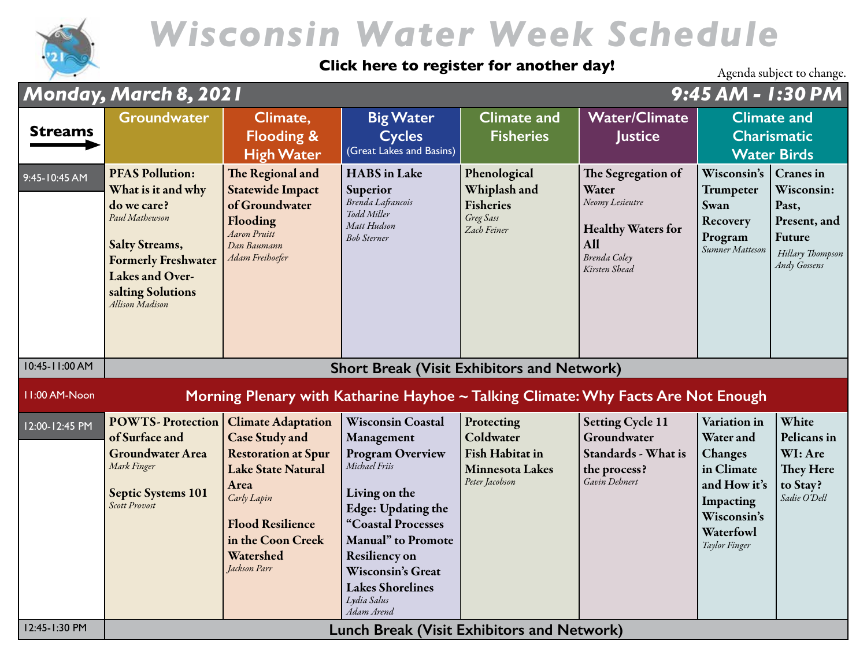

#### **[Click here to register for another day!](https://wisconsinwaterweek.swoogo.com/wisconsinwaterweek)**

|                | Monday, March 8, 2021                                                                                                                                                                           |                                                                                                                                                                                                                   |                                                                                                                                                                                                                                                                                   |                                                                                               |                                                                                                                     | 9:45 AM - 1:30 PM                                                                                                            |                                                                                                              |
|----------------|-------------------------------------------------------------------------------------------------------------------------------------------------------------------------------------------------|-------------------------------------------------------------------------------------------------------------------------------------------------------------------------------------------------------------------|-----------------------------------------------------------------------------------------------------------------------------------------------------------------------------------------------------------------------------------------------------------------------------------|-----------------------------------------------------------------------------------------------|---------------------------------------------------------------------------------------------------------------------|------------------------------------------------------------------------------------------------------------------------------|--------------------------------------------------------------------------------------------------------------|
| <b>Streams</b> | <b>Groundwater</b>                                                                                                                                                                              | Climate,<br><b>Flooding &amp;</b><br><b>High Water</b>                                                                                                                                                            | <b>Big Water</b><br><b>Cycles</b><br>(Great Lakes and Basins)                                                                                                                                                                                                                     | <b>Climate and</b><br><b>Fisheries</b>                                                        | <b>Water/Climate</b><br>Justice                                                                                     | <b>Climate and</b><br><b>Charismatic</b><br><b>Water Birds</b>                                                               |                                                                                                              |
| 9:45-10:45 AM  | <b>PFAS Pollution:</b><br>What is it and why<br>do we care?<br>Paul Mathewson<br><b>Salty Streams,</b><br><b>Formerly Freshwater</b><br>Lakes and Over-<br>salting Solutions<br>Allison Madison | The Regional and<br><b>Statewide Impact</b><br>of Groundwater<br>Flooding<br><b>Aaron Pruitt</b><br>Dan Baumann<br>Adam Freihoefer                                                                                | <b>HABS</b> in Lake<br>Superior<br>Brenda Lafrancois<br>Todd Miller<br>Matt Hudson<br><b>Bob Sterner</b>                                                                                                                                                                          | Phenological<br>Whiplash and<br><b>Fisheries</b><br>Greg Sass<br>Zach Feiner                  | The Segregation of<br>Water<br>Neomy Lesieutre<br><b>Healthy Waters for</b><br>All<br>Brenda Coley<br>Kirsten Shead | Wisconsin's<br>Trumpeter<br><b>Swan</b><br>Recovery<br>Program<br>Sumner Matteson                                            | <b>Cranes</b> in<br>Wisconsin:<br>Past,<br>Present, and<br>Future<br>Hillary Thompson<br><b>Andy Gossens</b> |
| 10:45-11:00 AM |                                                                                                                                                                                                 |                                                                                                                                                                                                                   | <b>Short Break (Visit Exhibitors and Network)</b>                                                                                                                                                                                                                                 |                                                                                               |                                                                                                                     |                                                                                                                              |                                                                                                              |
| II:00 AM-Noon  |                                                                                                                                                                                                 |                                                                                                                                                                                                                   | Morning Plenary with Katharine Hayhoe ~ Talking Climate: Why Facts Are Not Enough                                                                                                                                                                                                 |                                                                                               |                                                                                                                     |                                                                                                                              |                                                                                                              |
| 12:00-12:45 PM | <b>POWTS-Protection</b><br>of Surface and<br><b>Groundwater Area</b><br>Mark Finger<br><b>Septic Systems 101</b><br><b>Scott Provost</b>                                                        | <b>Climate Adaptation</b><br><b>Case Study and</b><br><b>Restoration at Spur</b><br><b>Lake State Natural</b><br>Area<br>Carly Lapin<br><b>Flood Resilience</b><br>in the Coon Creek<br>Watershed<br>Jackson Parr | <b>Wisconsin Coastal</b><br>Management<br><b>Program Overview</b><br>Michael Friis<br>Living on the<br>Edge: Updating the<br>"Coastal Processes<br>Manual" to Promote<br><b>Resiliency on</b><br><b>Wisconsin's Great</b><br><b>Lakes Shorelines</b><br>Lydia Salus<br>Adam Arend | Protecting<br>Coldwater<br><b>Fish Habitat in</b><br><b>Minnesota Lakes</b><br>Peter Jacobson | <b>Setting Cycle 11</b><br>Groundwater<br>Standards - What is<br>the process?<br>Gavin Dehnert                      | Variation in<br>Water and<br>Changes<br>in Climate<br>and How it's<br>Impacting<br>Wisconsin's<br>Waterfowl<br>Taylor Finger | White<br>Pelicans in<br>WI: Are<br>They Here<br>to Stay?<br>Sadie O'Dell                                     |
| 12:45-1:30 PM  |                                                                                                                                                                                                 |                                                                                                                                                                                                                   | <b>Lunch Break (Visit Exhibitors and Network)</b>                                                                                                                                                                                                                                 |                                                                                               |                                                                                                                     |                                                                                                                              |                                                                                                              |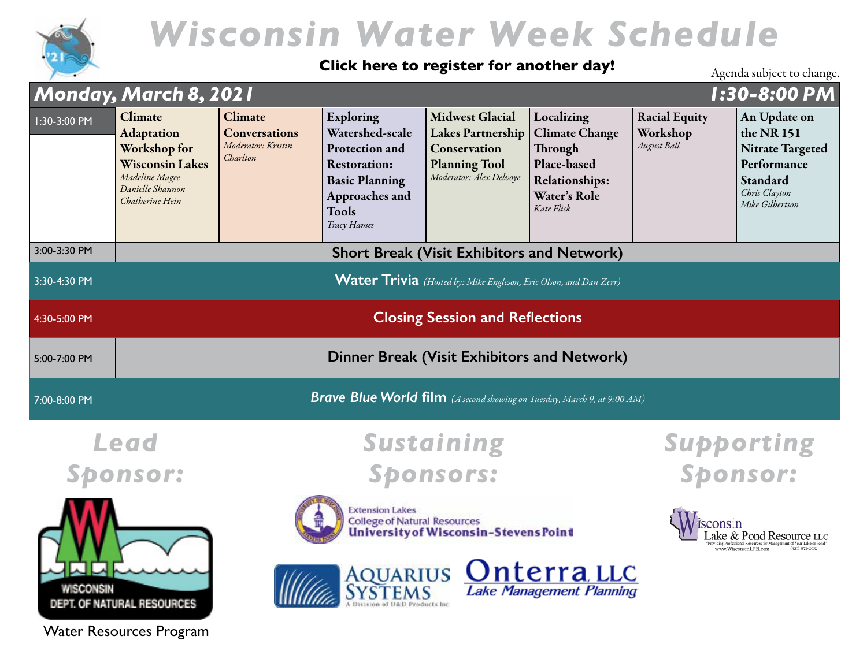

#### **[Click here to register for another day!](https://wisconsinwaterweek.swoogo.com/wisconsinwaterweek)**

Agenda subject to change.

|                                         | Monday, March 8, 2021                                                                                                           |                                                                                                        |                                                                                                                                                 |                                                                                                                       |                                                                                                                      |                                                 | 1:30-8:00 PM                                                                                                         |  |
|-----------------------------------------|---------------------------------------------------------------------------------------------------------------------------------|--------------------------------------------------------------------------------------------------------|-------------------------------------------------------------------------------------------------------------------------------------------------|-----------------------------------------------------------------------------------------------------------------------|----------------------------------------------------------------------------------------------------------------------|-------------------------------------------------|----------------------------------------------------------------------------------------------------------------------|--|
| 1:30-3:00 PM                            | Climate<br><b>Adaptation</b><br>Workshop for<br><b>Wisconsin Lakes</b><br>Madeline Magee<br>Danielle Shannon<br>Chatherine Hein | Climate<br><b>Conversations</b><br>Moderator: Kristin<br>Charlton                                      | Exploring<br>Watershed-scale<br>Protection and<br><b>Restoration:</b><br><b>Basic Planning</b><br>Approaches and<br><b>Tools</b><br>Tracy Hames | <b>Midwest Glacial</b><br><b>Lakes Partnership</b><br>Conservation<br><b>Planning Tool</b><br>Moderator: Alex Delvoye | Localizing<br><b>Climate Change</b><br>Through<br>Place-based<br><b>Relationships:</b><br>Water's Role<br>Kate Flick | <b>Racial Equity</b><br>Workshop<br>August Ball | An Update on<br>the NR 151<br><b>Nitrate Targeted</b><br>Performance<br>Standard<br>Chris Clayton<br>Mike Gilbertson |  |
| 3:00-3:30 PM                            |                                                                                                                                 |                                                                                                        |                                                                                                                                                 | <b>Short Break (Visit Exhibitors and Network)</b>                                                                     |                                                                                                                      |                                                 |                                                                                                                      |  |
| 3:30-4:30 PM                            | <b>Water Trivia</b> (Hosted by: Mike Engleson, Eric Olson, and Dan Zerr)                                                        |                                                                                                        |                                                                                                                                                 |                                                                                                                       |                                                                                                                      |                                                 |                                                                                                                      |  |
| 4:30-5:00 PM                            | <b>Closing Session and Reflections</b>                                                                                          |                                                                                                        |                                                                                                                                                 |                                                                                                                       |                                                                                                                      |                                                 |                                                                                                                      |  |
| 5:00-7:00 PM                            |                                                                                                                                 |                                                                                                        |                                                                                                                                                 | Dinner Break (Visit Exhibitors and Network)                                                                           |                                                                                                                      |                                                 |                                                                                                                      |  |
| 7:00-8:00 PM                            |                                                                                                                                 |                                                                                                        |                                                                                                                                                 | <b>Brave Blue World film</b> (A second showing on Tuesday, March 9, at 9:00 AM)                                       |                                                                                                                      |                                                 |                                                                                                                      |  |
|                                         | Lead                                                                                                                            |                                                                                                        |                                                                                                                                                 | Sustaining                                                                                                            |                                                                                                                      |                                                 | <b>Supporting</b>                                                                                                    |  |
|                                         | <b>Sponsor:</b>                                                                                                                 |                                                                                                        |                                                                                                                                                 | <b>Sponsors:</b>                                                                                                      |                                                                                                                      |                                                 | <b>Sponsor:</b>                                                                                                      |  |
| WISCONSIN<br>DEPT. OF NATURAL RESOURCES |                                                                                                                                 | <b>Extension Lakes</b><br><b>College of Natural Resources</b><br>University of Wisconsin-Stevens Point |                                                                                                                                                 |                                                                                                                       |                                                                                                                      |                                                 | sconsin<br>ake & Pond Resource LLC<br>www.WisconsinLPR.com                                                           |  |
|                                         |                                                                                                                                 |                                                                                                        | AQUARIUS Onterra LLC<br><b>Lake Management Planning</b>                                                                                         |                                                                                                                       |                                                                                                                      |                                                 |                                                                                                                      |  |

Water Resources Program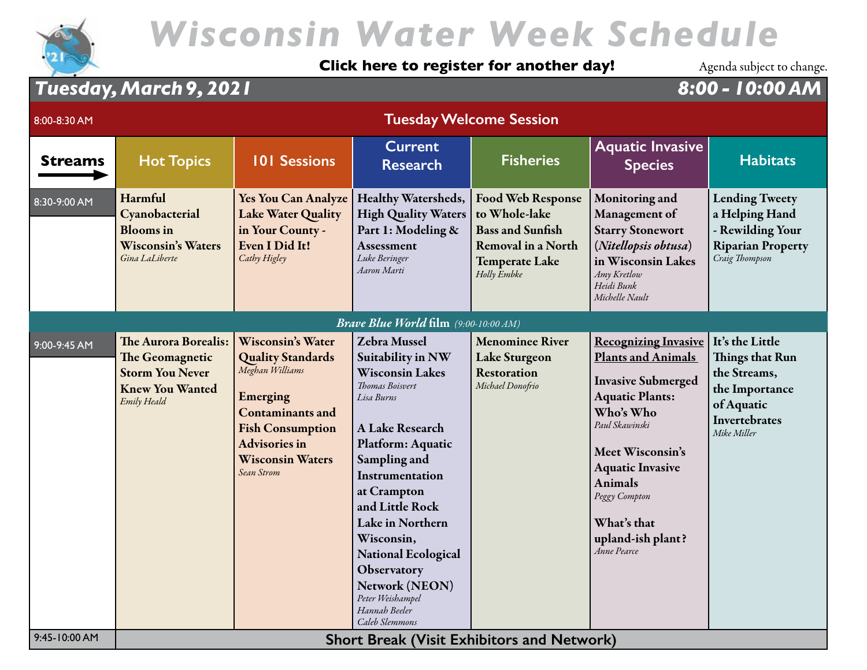

#### **[Click here to register for another day!](https://wisconsinwaterweek.swoogo.com/wisconsinwaterweek)**

Agenda subject to change.

### *Tuesday, March 9, 2021 8:00 - 10:00 AM*

| 8:00-8:30 AM   |                                                                                                            |                                                                                                                                                                                                            |                                                                                                                                                                                                                                                                                                                                                                                 | <b>Tuesday Welcome Session</b>                                                                                                            |                                                                                                                                                                                                                                                                                                   |                                                                                                                           |
|----------------|------------------------------------------------------------------------------------------------------------|------------------------------------------------------------------------------------------------------------------------------------------------------------------------------------------------------------|---------------------------------------------------------------------------------------------------------------------------------------------------------------------------------------------------------------------------------------------------------------------------------------------------------------------------------------------------------------------------------|-------------------------------------------------------------------------------------------------------------------------------------------|---------------------------------------------------------------------------------------------------------------------------------------------------------------------------------------------------------------------------------------------------------------------------------------------------|---------------------------------------------------------------------------------------------------------------------------|
| <b>Streams</b> | <b>Hot Topics</b>                                                                                          | <b>101 Sessions</b>                                                                                                                                                                                        | <b>Current</b><br><b>Research</b>                                                                                                                                                                                                                                                                                                                                               | <b>Fisheries</b>                                                                                                                          | <b>Aquatic Invasive</b><br><b>Species</b>                                                                                                                                                                                                                                                         | <b>Habitats</b>                                                                                                           |
| 8:30-9:00 AM   | Harmful<br>Cyanobacterial<br><b>Blooms</b> in<br><b>Wisconsin's Waters</b><br>Gina LaLiberte               | <b>Yes You Can Analyze</b><br><b>Lake Water Quality</b><br>in Your County -<br>Even I Did It!<br>Cathy Higley                                                                                              | Healthy Watersheds,<br><b>High Quality Waters</b><br>Part 1: Modeling &<br>Assessment<br>Luke Beringer<br>Aaron Marti                                                                                                                                                                                                                                                           | <b>Food Web Response</b><br>to Whole-lake<br><b>Bass and Sunfish</b><br><b>Removal in a North</b><br><b>Temperate Lake</b><br>Holly Embke | Monitoring and<br>Management of<br><b>Starry Stonewort</b><br>(Nitellopsis obtusa)<br>in Wisconsin Lakes<br>Amy Kretlow<br>Heidi Bunk<br>Michelle Nault                                                                                                                                           | <b>Lending Tweety</b><br>a Helping Hand<br>- Rewilding Your<br><b>Riparian Property</b><br>Craig Thompson                 |
|                |                                                                                                            |                                                                                                                                                                                                            | <b>Brave Blue World film</b> (9:00-10:00 AM)                                                                                                                                                                                                                                                                                                                                    |                                                                                                                                           |                                                                                                                                                                                                                                                                                                   |                                                                                                                           |
| 9:00-9:45 AM   | The Aurora Borealis:<br>The Geomagnetic<br><b>Storm You Never</b><br><b>Knew You Wanted</b><br>Emily Heald | <b>Wisconsin's Water</b><br><b>Quality Standards</b><br>Meghan Williams<br>Emerging<br><b>Contaminants and</b><br><b>Fish Consumption</b><br><b>Advisories in</b><br><b>Wisconsin Waters</b><br>Sean Strom | <b>Zebra Mussel</b><br>Suitability in NW<br><b>Wisconsin Lakes</b><br><b>Thomas Boisvert</b><br>Lisa Burns<br>A Lake Research<br>Platform: Aquatic<br>Sampling and<br>Instrumentation<br>at Crampton<br>and Little Rock<br>Lake in Northern<br>Wisconsin,<br><b>National Ecological</b><br>Observatory<br>Network (NEON)<br>Peter Weishampel<br>Hannah Beeler<br>Caleb Slemmons | <b>Menominee River</b><br><b>Lake Sturgeon</b><br><b>Restoration</b><br>Michael Donofrio                                                  | <b>Recognizing Invasive</b><br><b>Plants and Animals</b><br><b>Invasive Submerged</b><br><b>Aquatic Plants:</b><br>Who's Who<br>Paul Skawinski<br>Meet Wisconsin's<br><b>Aquatic Invasive</b><br><b>Animals</b><br>Peggy Compton<br>What's that<br>upland-ish plant?<br><i><b>Anne Pearce</b></i> | It's the Little<br><b>Things that Run</b><br>the Streams,<br>the Importance<br>of Aquatic<br>Invertebrates<br>Mike Miller |
| 9:45-10:00 AM  |                                                                                                            |                                                                                                                                                                                                            | <b>Short Break (Visit Exhibitors and Network)</b>                                                                                                                                                                                                                                                                                                                               |                                                                                                                                           |                                                                                                                                                                                                                                                                                                   |                                                                                                                           |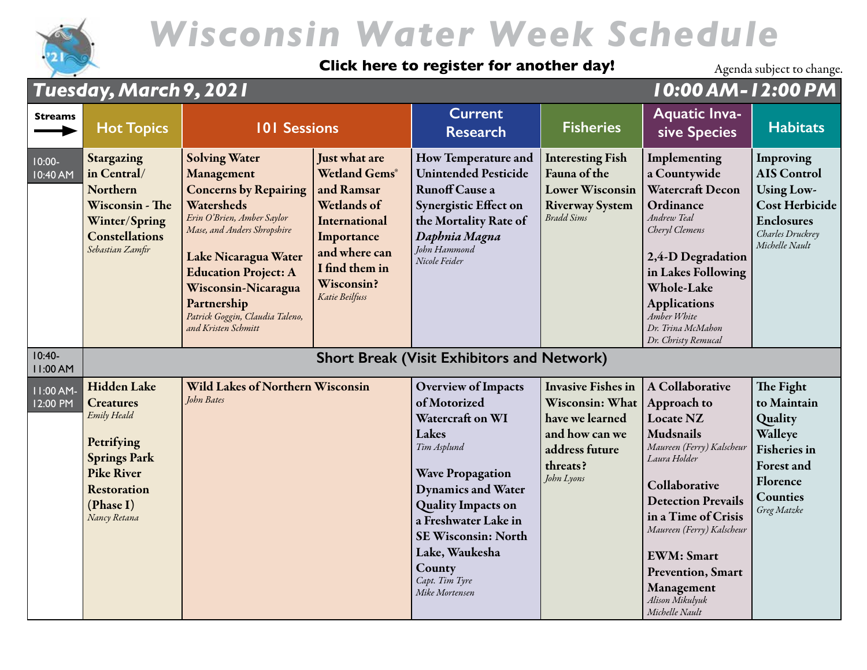

#### **[Click here to register for another day!](https://wisconsinwaterweek.swoogo.com/wisconsinwaterweek)**

|                       | <b>Tuesday, March 9, 2021</b>                                                                                                                                      |                                                                                                                                                                                                                                                                                                      |                                                                                                                                                                             | 10:00 AM-12:00 PM                                                                                                                                                                                                                                                                                 |                                                                                                                               |                                                                                                                                                                                                                                                                                                                      |                                                                                                                                   |
|-----------------------|--------------------------------------------------------------------------------------------------------------------------------------------------------------------|------------------------------------------------------------------------------------------------------------------------------------------------------------------------------------------------------------------------------------------------------------------------------------------------------|-----------------------------------------------------------------------------------------------------------------------------------------------------------------------------|---------------------------------------------------------------------------------------------------------------------------------------------------------------------------------------------------------------------------------------------------------------------------------------------------|-------------------------------------------------------------------------------------------------------------------------------|----------------------------------------------------------------------------------------------------------------------------------------------------------------------------------------------------------------------------------------------------------------------------------------------------------------------|-----------------------------------------------------------------------------------------------------------------------------------|
| <b>Streams</b>        | <b>Hot Topics</b>                                                                                                                                                  | <b>101 Sessions</b>                                                                                                                                                                                                                                                                                  |                                                                                                                                                                             | <b>Current</b><br><b>Research</b>                                                                                                                                                                                                                                                                 | <b>Fisheries</b>                                                                                                              | <b>Aquatic Inva-</b><br>sive Species                                                                                                                                                                                                                                                                                 | <b>Habitats</b>                                                                                                                   |
| $10:00-$<br>10:40 AM  | Stargazing<br>in Central/<br>Northern<br>Wisconsin - The<br>Winter/Spring<br><b>Constellations</b><br>Sebastian Zamfir                                             | <b>Solving Water</b><br>Management<br><b>Concerns by Repairing</b><br>Watersheds<br>Erin O'Brien, Amber Saylor<br>Mase, and Anders Shropshire<br>Lake Nicaragua Water<br><b>Education Project: A</b><br>Wisconsin-Nicaragua<br>Partnership<br>Patrick Goggin, Claudia Taleno,<br>and Kristen Schmitt | Just what are<br><b>Wetland Gems®</b><br>and Ramsar<br>Wetlands of<br>International<br>Importance<br>and where can<br>I find them in<br><b>Wisconsin?</b><br>Katie Beilfuss | How Temperature and<br><b>Unintended Pesticide</b><br><b>Runoff Cause a</b><br>Synergistic Effect on<br>the Mortality Rate of<br>Daphnia Magna<br>John Hammond<br>Nicole Feider                                                                                                                   | <b>Interesting Fish</b><br>Fauna of the<br><b>Lower Wisconsin</b><br><b>Riverway System</b><br>Bradd Sims                     | Implementing<br>a Countywide<br>Watercraft Decon<br>Ordinance<br>Andrew Teal<br>Cheryl Clemens<br>2,4-D Degradation<br>in Lakes Following<br><b>Whole-Lake</b><br><b>Applications</b><br>Amber White<br>Dr. Trina McMahon<br>Dr. Christy Remucal                                                                     | Improving<br><b>AIS Control</b><br><b>Using Low-</b><br>Cost Herbicide<br><b>Enclosures</b><br>Charles Druckrey<br>Michelle Nault |
| $10:40-$<br>11:00 AM  |                                                                                                                                                                    |                                                                                                                                                                                                                                                                                                      |                                                                                                                                                                             | <b>Short Break (Visit Exhibitors and Network)</b>                                                                                                                                                                                                                                                 |                                                                                                                               |                                                                                                                                                                                                                                                                                                                      |                                                                                                                                   |
| 11:00 AM-<br>12:00 PM | <b>Hidden Lake</b><br><b>Creatures</b><br>Emily Heald<br>Petrifying<br><b>Springs Park</b><br><b>Pike River</b><br><b>Restoration</b><br>(Phase I)<br>Nancy Retana | <b>Wild Lakes of Northern Wisconsin</b><br>John Bates                                                                                                                                                                                                                                                |                                                                                                                                                                             | <b>Overview of Impacts</b><br>of Motorized<br>Watercraft on WI<br>Lakes<br>Tim Asplund<br><b>Wave Propagation</b><br><b>Dynamics and Water</b><br><b>Quality Impacts on</b><br>a Freshwater Lake in<br><b>SE Wisconsin: North</b><br>Lake, Waukesha<br>County<br>Capt. Tim Tyre<br>Mike Mortensen | <b>Invasive Fishes in</b><br>Wisconsin: What<br>have we learned<br>and how can we<br>address future<br>threats?<br>John Lyons | A Collaborative<br>Approach to<br>Locate NZ<br><b>Mudsnails</b><br>Maureen (Ferry) Kalscheur<br>Laura Holder<br>Collaborative<br><b>Detection Prevails</b><br>in a Time of Crisis<br>Maureen (Ferry) Kalscheur<br><b>EWM</b> : Smart<br><b>Prevention</b> , Smart<br>Management<br>Alison Mikulyuk<br>Michelle Nault | The Fight<br>to Maintain<br>Quality<br>Walleye<br><b>Fisheries</b> in<br>Forest and<br>Florence<br><b>Counties</b><br>Greg Matzke |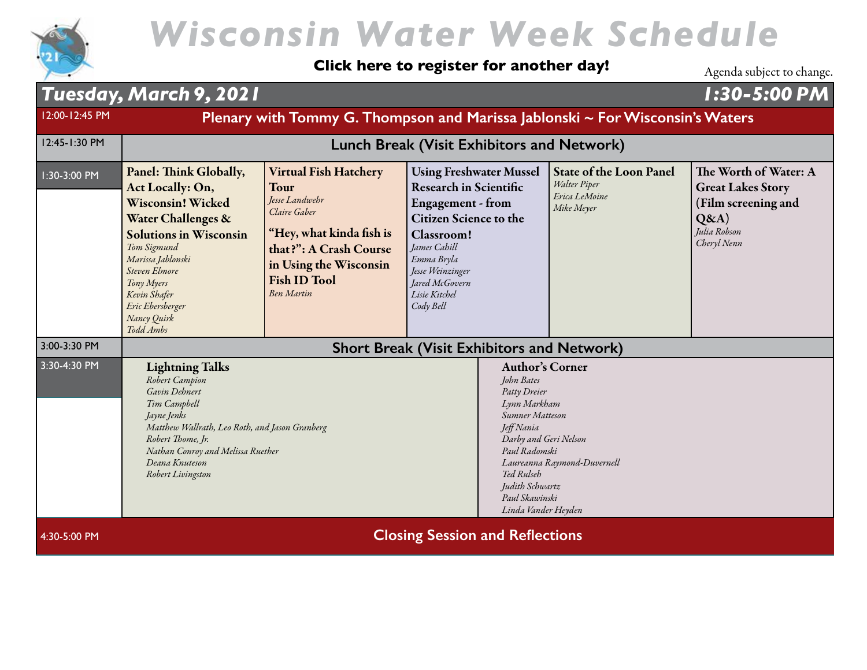

#### **[Click here to register for another day!](https://wisconsinwaterweek.swoogo.com/wisconsinwaterweek)**

Agenda subject to change.

#### *Tuesday, March 9, 2021 1:30-5:00 PM* 12:00-12:45 PM **Plenary with Tommy G. Thompson and Marissa Jablonski ~ For Wisconsin's Waters** 12:45-1:30 PM **Lunch Break [\(Visit Exhibitors and Network\)](https://eventmobi.com/wisconsinwaterweek/companies/e1cc0545-71f3-4a8f-83a6-f9bb4bfae345)** 1:30-3:00 PM Panel: Think Globally, Act Locally: On, Wisconsin! Wicked Water Challenges & Solutions in Wisconsin *Tom Sigmund Marissa Jablonski Steven Elmore Tony Myers Kevin Shafer Eric Ebersberger Nancy Quirk Todd Ambs* Virtual Fish Hatchery Tour *Jesse Landwehr Claire Gaber* "Hey, what kinda fish is that?": A Crash Course in Using the Wisconsin Fish ID Tool *Ben Martin* Using Freshwater Mussel Research in Scientific Engagement - from Citizen Science to the Classroom! *James Cahill Emma Bryla Jesse Weinzinger Jared McGovern Lisie Kitchel Cody Bell* State of the Loon Panel *Walter Piper Erica LeMoine Mike Meyer* The Worth of Water: A Great Lakes Story (Film screening and  $O&A)$ *Julia Robson Cheryl Nenn* 3:00-3:30 PM **[Short Break \(Visit Exhibitors and Network\)](https://eventmobi.com/wisconsinwaterweek/companies/e1cc0545-71f3-4a8f-83a6-f9bb4bfae345)** 3:30-4:30 PM Lightning Talks *Robert Campion Gavin Dehnert Tim Campbell Jayne Jenks Matthew Wallrath, Leo Roth, and Jason Granberg Robert Thome, Jr. Nathan Conroy and Melissa Ruether Deana Knuteson Robert Livingston* Author's Corner *John Bates Patty Dreier Lynn Markham Sumner Matteson Jeff Nania Darby and Geri Nelson Paul Radomski Laureanna Raymond-Duvernell Ted Rulseh Judith Schwartz Paul Skawinski Linda Vander Heyden* 4:30-5:00 PM **Closing Session and Reflections**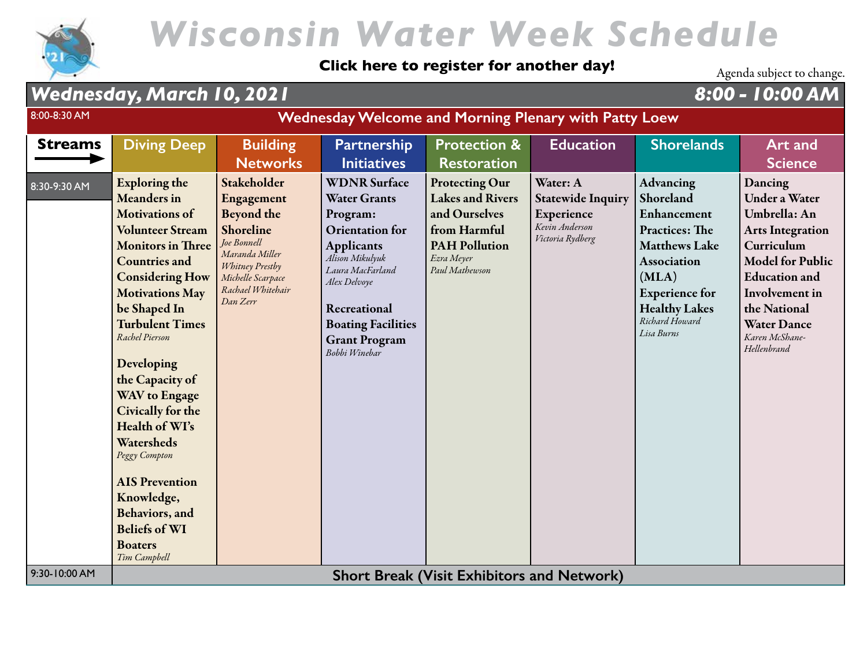

#### **[Click here to register for another day!](https://wisconsinwaterweek.swoogo.com/wisconsinwaterweek)**

Agenda subject to change.

### *Wednesday, March 10, 2021 8:00 - 10:00 AM*

| 8:00-8:30 AM   | <b>Wednesday Welcome and Morning Plenary with Patty Loew</b>                                                                                                                                                                                                                                                                                                                                                                                                                                                                 |                                                                                                                                                                       |                                                                                                                                                                                                                                                    |                                                                                                                                           |                                                                                          |                                                                                                                                                                                                        |                                                                                                                                                                                                                                             |
|----------------|------------------------------------------------------------------------------------------------------------------------------------------------------------------------------------------------------------------------------------------------------------------------------------------------------------------------------------------------------------------------------------------------------------------------------------------------------------------------------------------------------------------------------|-----------------------------------------------------------------------------------------------------------------------------------------------------------------------|----------------------------------------------------------------------------------------------------------------------------------------------------------------------------------------------------------------------------------------------------|-------------------------------------------------------------------------------------------------------------------------------------------|------------------------------------------------------------------------------------------|--------------------------------------------------------------------------------------------------------------------------------------------------------------------------------------------------------|---------------------------------------------------------------------------------------------------------------------------------------------------------------------------------------------------------------------------------------------|
| <b>Streams</b> | <b>Diving Deep</b>                                                                                                                                                                                                                                                                                                                                                                                                                                                                                                           | <b>Building</b><br><b>Networks</b>                                                                                                                                    | <b>Partnership</b><br><b>Initiatives</b>                                                                                                                                                                                                           | <b>Protection &amp;</b><br><b>Restoration</b>                                                                                             | <b>Education</b>                                                                         | <b>Shorelands</b>                                                                                                                                                                                      | Art and<br><b>Science</b>                                                                                                                                                                                                                   |
| 8:30-9:30 AM   | <b>Exploring the</b><br><b>Meanders</b> in<br><b>Motivations of</b><br><b>Volunteer Stream</b><br><b>Monitors in Three</b><br><b>Countries and</b><br><b>Considering How</b><br><b>Motivations May</b><br>be Shaped In<br><b>Turbulent Times</b><br>Rachel Pierson<br>Developing<br>the Capacity of<br><b>WAV</b> to Engage<br>Civically for the<br>Health of WI's<br>Watersheds<br>Peggy Compton<br><b>AIS Prevention</b><br>Knowledge,<br><b>Behaviors</b> , and<br><b>Beliefs of WI</b><br><b>Boaters</b><br>Tim Campbell | Stakeholder<br>Engagement<br><b>Beyond the</b><br>Shoreline<br>Joe Bonnell<br>Maranda Miller<br>Whitney Prestby<br>Michelle Scarpace<br>Rachael Whitehair<br>Dan Zerr | <b>WDNR Surface</b><br><b>Water Grants</b><br>Program:<br><b>Orientation</b> for<br><b>Applicants</b><br>Alison Mikulyuk<br>Laura MacFarland<br>Alex Delvoye<br>Recreational<br><b>Boating Facilities</b><br><b>Grant Program</b><br>Bobbi Winebar | <b>Protecting Our</b><br><b>Lakes and Rivers</b><br>and Ourselves<br>from Harmful<br><b>PAH Pollution</b><br>Ezra Meyer<br>Paul Mathewson | Water: A<br><b>Statewide Inquiry</b><br>Experience<br>Kevin Anderson<br>Victoria Rydberg | <b>Advancing</b><br>Shoreland<br>Enhancement<br><b>Practices: The</b><br><b>Matthews Lake</b><br>Association<br>(MLA)<br><b>Experience for</b><br><b>Healthy Lakes</b><br>Richard Howard<br>Lisa Burns | Dancing<br><b>Under a Water</b><br>Umbrella: An<br><b>Arts Integration</b><br>Curriculum<br><b>Model for Public</b><br><b>Education</b> and<br><b>Involvement</b> in<br>the National<br><b>Water Dance</b><br>Karen McShane-<br>Hellenbrand |
| 9:30-10:00 AM  |                                                                                                                                                                                                                                                                                                                                                                                                                                                                                                                              |                                                                                                                                                                       |                                                                                                                                                                                                                                                    | <b>Short Break (Visit Exhibitors and Network)</b>                                                                                         |                                                                                          |                                                                                                                                                                                                        |                                                                                                                                                                                                                                             |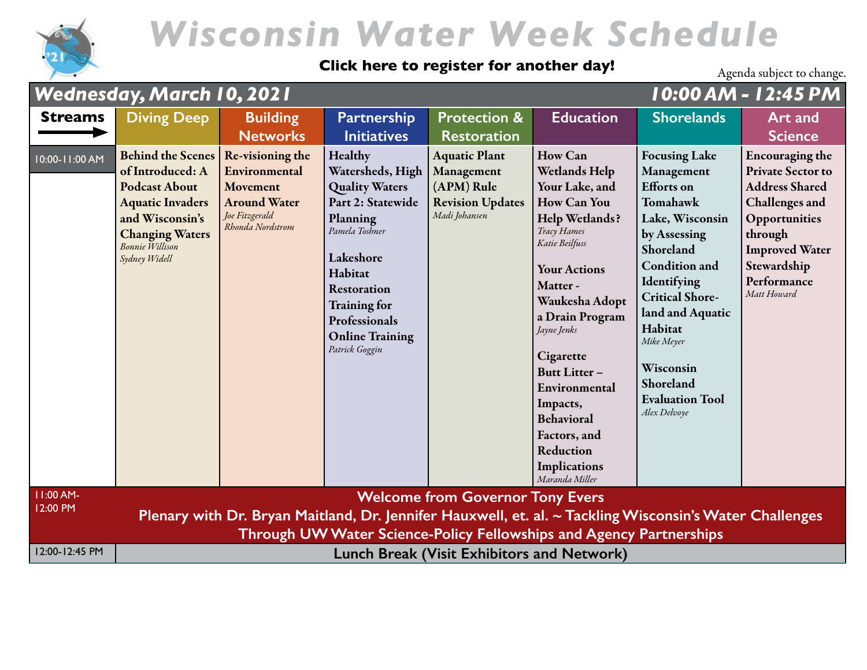

#### **[Click here to register for another day!](https://wisconsinwaterweek.swoogo.com/wisconsinwaterweek)**

|                       | Wednesday, March 10, 2021                                                                                                                                                               |                                                                                                            |                                                                                                                                                                                                                                    |                                                                                              | 10:00 AM - 12:45 PM                                                                                                                                                                                                                                                                                                                                                                 |                                                                                                                                                                                                                                                                                                       |                                                                                                                                                                                                        |
|-----------------------|-----------------------------------------------------------------------------------------------------------------------------------------------------------------------------------------|------------------------------------------------------------------------------------------------------------|------------------------------------------------------------------------------------------------------------------------------------------------------------------------------------------------------------------------------------|----------------------------------------------------------------------------------------------|-------------------------------------------------------------------------------------------------------------------------------------------------------------------------------------------------------------------------------------------------------------------------------------------------------------------------------------------------------------------------------------|-------------------------------------------------------------------------------------------------------------------------------------------------------------------------------------------------------------------------------------------------------------------------------------------------------|--------------------------------------------------------------------------------------------------------------------------------------------------------------------------------------------------------|
| <b>Streams</b>        | <b>Diving Deep</b>                                                                                                                                                                      | <b>Building</b><br><b>Networks</b>                                                                         | Partnership<br><b>Initiatives</b>                                                                                                                                                                                                  | <b>Protection &amp;</b><br><b>Restoration</b>                                                | <b>Education</b>                                                                                                                                                                                                                                                                                                                                                                    | <b>Shorelands</b>                                                                                                                                                                                                                                                                                     | <b>Art and</b><br><b>Science</b>                                                                                                                                                                       |
| 10:00-11:00 AM        | <b>Behind the Scenes</b><br>of Introduced: A<br><b>Podcast About</b><br><b>Aquatic Invaders</b><br>and Wisconsin's<br><b>Changing Waters</b><br><b>Bonnie Willison</b><br>Sydney Widell | Re-visioning the<br>Environmental<br>Movement<br><b>Around Water</b><br>Joe Fitzgerald<br>Rhonda Nordstrom | Healthy<br>Watersheds, High<br><b>Quality Waters</b><br>Part 2: Statewide<br>Planning<br>Pamela Toshner<br>Lakeshore<br>Habitat<br>Restoration<br><b>Training for</b><br>Professionals<br><b>Online Training</b><br>Patrick Goggin | <b>Aquatic Plant</b><br>Management<br>(APM) Rule<br><b>Revision Updates</b><br>Madi Johansen | <b>How Can</b><br><b>Wetlands Help</b><br>Your Lake, and<br><b>How Can You</b><br><b>Help Wetlands?</b><br>Tracy Hames<br>Katie Beilfuss<br><b>Your Actions</b><br>Matter-<br>Waukesha Adopt<br>a Drain Program<br>Jayne Jenks<br>Cigarette<br><b>Butt Litter-</b><br>Environmental<br>Impacts,<br><b>Behavioral</b><br>Factors, and<br>Reduction<br>Implications<br>Maranda Miller | <b>Focusing Lake</b><br>Management<br><b>Efforts</b> on<br>Tomahawk<br>Lake, Wisconsin<br>by Assessing<br>Shoreland<br><b>Condition and</b><br>Identifying<br><b>Critical Shore-</b><br>land and Aquatic<br>Habitat<br>Mike Meyer<br>Wisconsin<br>Shoreland<br><b>Evaluation Tool</b><br>Alex Delvoye | <b>Encouraging the</b><br><b>Private Sector to</b><br><b>Address Shared</b><br><b>Challenges</b> and<br>Opportunities<br>through<br><b>Improved Water</b><br>Stewardship<br>Performance<br>Matt Howard |
| 11:00 AM-<br>12:00 PM | <b>Welcome from Governor Tony Evers</b><br>Plenary with Dr. Bryan Maitland, Dr. Jennifer Hauxwell, et. al. ~ Tackling Wisconsin's Water Challenges                                      |                                                                                                            |                                                                                                                                                                                                                                    |                                                                                              |                                                                                                                                                                                                                                                                                                                                                                                     |                                                                                                                                                                                                                                                                                                       |                                                                                                                                                                                                        |
| 12:00-12:45 PM        | Through UW Water Science-Policy Fellowships and Agency Partnerships<br><b>Lunch Break (Visit Exhibitors and Network)</b>                                                                |                                                                                                            |                                                                                                                                                                                                                                    |                                                                                              |                                                                                                                                                                                                                                                                                                                                                                                     |                                                                                                                                                                                                                                                                                                       |                                                                                                                                                                                                        |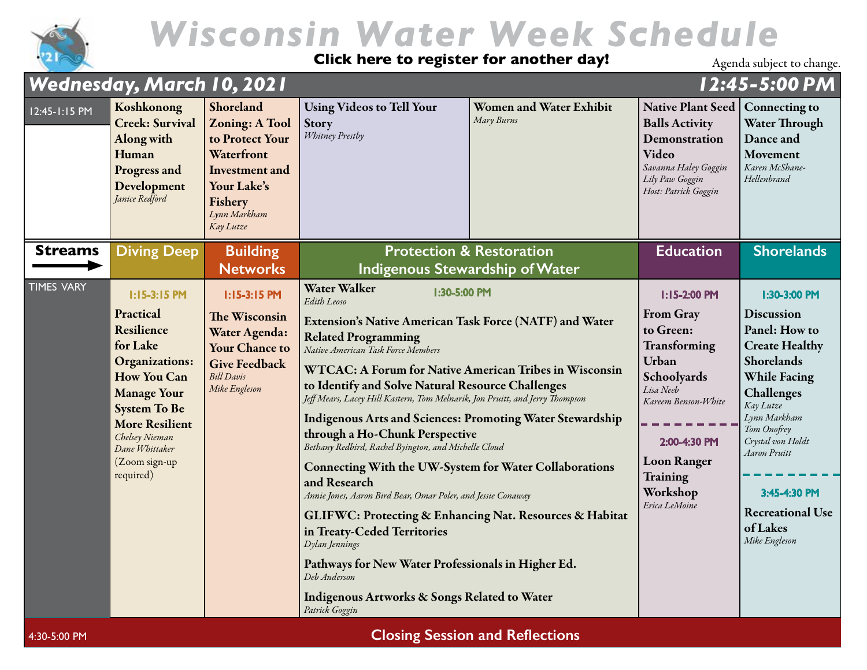

**[Click here to register for another day!](https://wisconsinwaterweek.swoogo.com/wisconsinwaterweek)**

Agenda subject to change.

| <b>Wednesday, March 10, 2021</b> |                                                                                                                                                                                                                                              |                                                                                                                                              |                                                                                                                                                                                                                                                                                                                                                                                                                                                                                                                                                                                                                                                                                                                                                                                                                                                                                                                                                                                    |                                              |                                                                                                                                                                                                                 | 12:45-5:00 PM                                                                                                                                                                                                                                                                           |
|----------------------------------|----------------------------------------------------------------------------------------------------------------------------------------------------------------------------------------------------------------------------------------------|----------------------------------------------------------------------------------------------------------------------------------------------|------------------------------------------------------------------------------------------------------------------------------------------------------------------------------------------------------------------------------------------------------------------------------------------------------------------------------------------------------------------------------------------------------------------------------------------------------------------------------------------------------------------------------------------------------------------------------------------------------------------------------------------------------------------------------------------------------------------------------------------------------------------------------------------------------------------------------------------------------------------------------------------------------------------------------------------------------------------------------------|----------------------------------------------|-----------------------------------------------------------------------------------------------------------------------------------------------------------------------------------------------------------------|-----------------------------------------------------------------------------------------------------------------------------------------------------------------------------------------------------------------------------------------------------------------------------------------|
| 12:45-1:15 PM                    | Koshkonong<br><b>Creek: Survival</b><br>Along with<br>Human<br>Progress and<br>Development<br>Janice Redford                                                                                                                                 | Shoreland<br><b>Zoning: A Tool</b><br>to Protect Your<br>Waterfront<br>Investment and<br>Your Lake's<br>Fishery<br>Lynn Markham<br>Kay Lutze | <b>Using Videos to Tell Your</b><br><b>Story</b><br><b>Whitney Prestby</b>                                                                                                                                                                                                                                                                                                                                                                                                                                                                                                                                                                                                                                                                                                                                                                                                                                                                                                         | <b>Women and Water Exhibit</b><br>Mary Burns | Native Plant Seed<br><b>Balls Activity</b><br>Demonstration<br>Video<br>Savanna Haley Goggin<br>Lily Paw Goggin<br>Host: Patrick Goggin                                                                         | <b>Connecting to</b><br><b>Water Through</b><br>Dance and<br>Movement<br>Karen McShane-<br>Hellenbrand                                                                                                                                                                                  |
| <b>Streams</b>                   | <b>Diving Deep</b>                                                                                                                                                                                                                           | <b>Building</b><br><b>Networks</b>                                                                                                           |                                                                                                                                                                                                                                                                                                                                                                                                                                                                                                                                                                                                                                                                                                                                                                                                                                                                                                                                                                                    | <b>Protection &amp; Restoration</b>          | <b>Education</b>                                                                                                                                                                                                | <b>Shorelands</b>                                                                                                                                                                                                                                                                       |
| <b>TIMES VARY</b>                | $1:15-3:15$ PM<br>Practical<br>Resilience<br>for Lake<br><b>Organizations:</b><br><b>How You Can</b><br><b>Manage Your</b><br><b>System To Be</b><br><b>More Resilient</b><br>Chelsey Nieman<br>Dane Whittaker<br>(Zoom sign-up<br>required) | $1:15-3:15$ PM<br>The Wisconsin<br>Water Agenda:<br><b>Your Chance to</b><br><b>Give Feedback</b><br><b>Bill Davis</b><br>Mike Engleson      | <b>Indigenous Stewardship of Water</b><br>Water Walker<br>1:30-5:00 PM<br>Edith Leoso<br><b>Extension's Native American Task Force (NATF) and Water</b><br><b>Related Programming</b><br>Native American Task Force Members<br><b>WTCAC: A Forum for Native American Tribes in Wisconsin</b><br>to Identify and Solve Natural Resource Challenges<br>Jeff Mears, Lacey Hill Kastern, Tom Melnarik, Jon Pruitt, and Jerry Thompson<br><b>Indigenous Arts and Sciences: Promoting Water Stewardship</b><br>through a Ho-Chunk Perspective<br>Bethany Redbird, Rachel Byington, and Michelle Cloud<br><b>Connecting With the UW-System for Water Collaborations</b><br>and Research<br>Annie Jones, Aaron Bird Bear, Omar Poler, and Jessie Conaway<br>GLIFWC: Protecting & Enhancing Nat. Resources & Habitat<br>in Treaty-Ceded Territories<br>Dylan Jennings<br>Pathways for New Water Professionals in Higher Ed.<br>Deb Anderson<br>Indigenous Artworks & Songs Related to Water |                                              | I:15-2:00 PM<br><b>From Gray</b><br>to Green:<br>Transforming<br>Urban<br>Schoolyards<br>Lisa Neeb<br>Kareem Benson-White<br>2:00-4:30 PM<br><b>Loon Ranger</b><br><b>Training</b><br>Workshop<br>Erica LeMoine | 1:30-3:00 PM<br>Discussion<br>Panel: How to<br><b>Create Healthy</b><br>Shorelands<br><b>While Facing</b><br>Challenges<br>Kay Lutze<br>Lynn Markham<br>Tom Onofrey<br>Crystal von Holdt<br><b>Aaron Pruitt</b><br>3:45-4:30 PM<br><b>Recreational Use</b><br>of Lakes<br>Mike Engleson |

4:30-5:00 PM **Closing Session and Reflections**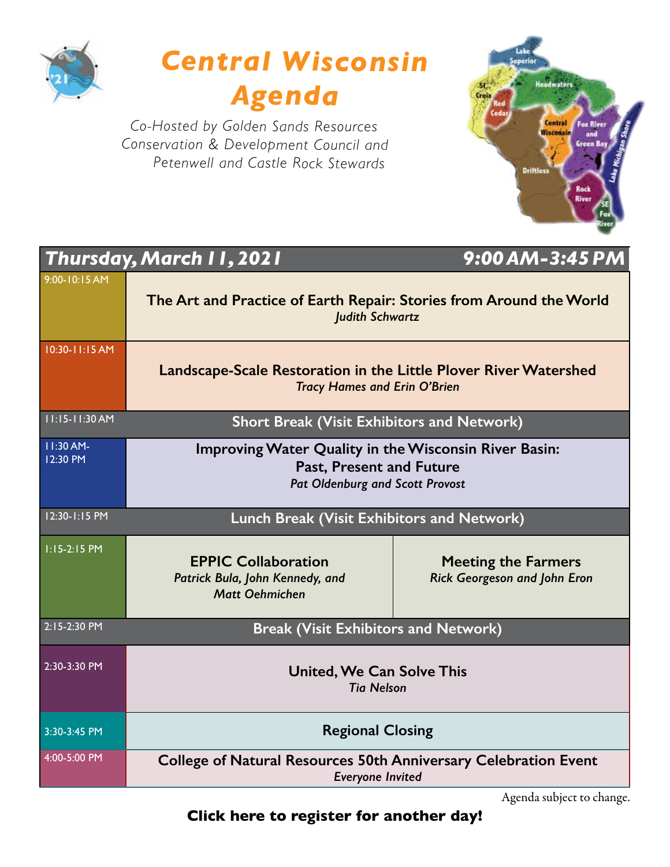



*Co-Hosted by Golden Sands Resources Conservation & Development Council and Petenwell and Castle Rock Stewards*



|                         | Thursday, March I I, 2021                                                                                                          | 9:00 AM-3:45 PM                                                                                         |  |  |  |  |  |
|-------------------------|------------------------------------------------------------------------------------------------------------------------------------|---------------------------------------------------------------------------------------------------------|--|--|--|--|--|
| 9:00-10:15 AM           | The Art and Practice of Earth Repair: Stories from Around the World<br><b>Judith Schwartz</b>                                      |                                                                                                         |  |  |  |  |  |
| 10:30-11:15 AM          |                                                                                                                                    | Landscape-Scale Restoration in the Little Plover River Watershed<br><b>Tracy Hames and Erin O'Brien</b> |  |  |  |  |  |
| 11:15-11:30 AM          | <b>Short Break (Visit Exhibitors and Network)</b>                                                                                  |                                                                                                         |  |  |  |  |  |
| $11:30$ AM-<br>12:30 PM | Improving Water Quality in the Wisconsin River Basin:<br><b>Past, Present and Future</b><br><b>Pat Oldenburg and Scott Provost</b> |                                                                                                         |  |  |  |  |  |
| 12:30-1:15 PM           | Lunch Break (Visit Exhibitors and Network)                                                                                         |                                                                                                         |  |  |  |  |  |
| 1:15-2:15 PM            | <b>EPPIC Collaboration</b><br>Patrick Bula, John Kennedy, and<br><b>Matt Oehmichen</b>                                             | <b>Meeting the Farmers</b><br><b>Rick Georgeson and John Eron</b>                                       |  |  |  |  |  |
| 2:15-2:30 PM            | <b>Break (Visit Exhibitors and Network)</b>                                                                                        |                                                                                                         |  |  |  |  |  |
| 2:30-3:30 PM            | <b>United, We Can Solve This</b><br><b>Tia Nelson</b>                                                                              |                                                                                                         |  |  |  |  |  |
| 3:30-3:45 PM            | <b>Regional Closing</b>                                                                                                            |                                                                                                         |  |  |  |  |  |
| 4:00-5:00 PM            | <b>College of Natural Resources 50th Anniversary Celebration Event</b>                                                             |                                                                                                         |  |  |  |  |  |

*Everyone Invited*

Agenda subject to change.

**[Click here to register for another day!](https://wisconsinwaterweek.swoogo.com/wisconsinwaterweek)**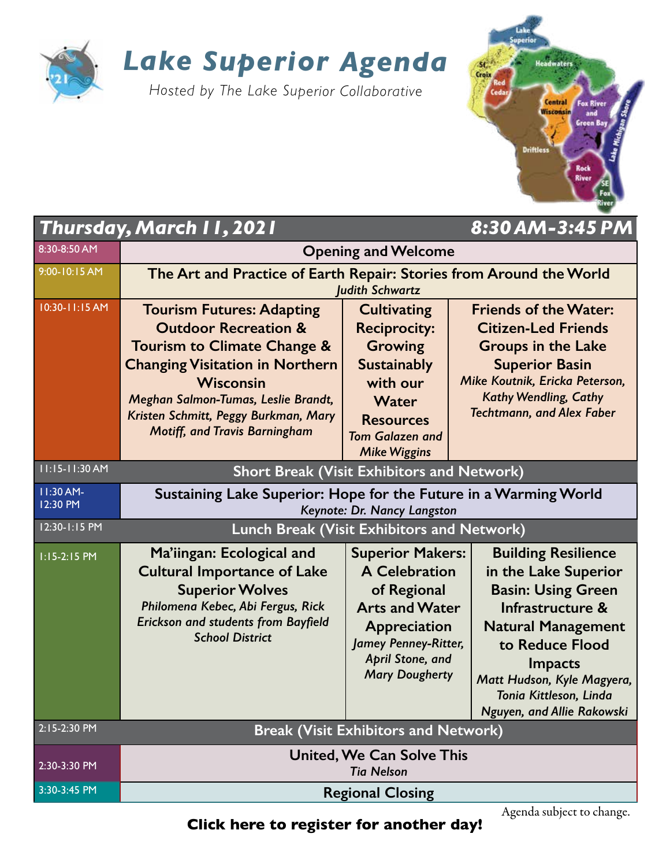

### *Lake Superior Agenda*

*Hosted by The Lake Superior Collaborative*



|                       | <b>Thursday, March 11, 2021</b>                                                                                                                                                                                                                                                  |                                                                                                                                                                                     | 8:30 AM-3:45 PM                                                                                                                                                                                                                                      |  |  |  |
|-----------------------|----------------------------------------------------------------------------------------------------------------------------------------------------------------------------------------------------------------------------------------------------------------------------------|-------------------------------------------------------------------------------------------------------------------------------------------------------------------------------------|------------------------------------------------------------------------------------------------------------------------------------------------------------------------------------------------------------------------------------------------------|--|--|--|
| 8:30-8:50 AM          |                                                                                                                                                                                                                                                                                  | <b>Opening and Welcome</b>                                                                                                                                                          |                                                                                                                                                                                                                                                      |  |  |  |
| 9:00-10:15 AM         | The Art and Practice of Earth Repair: Stories from Around the World<br><b>Judith Schwartz</b>                                                                                                                                                                                    |                                                                                                                                                                                     |                                                                                                                                                                                                                                                      |  |  |  |
| 10:30-11:15 AM        | <b>Tourism Futures: Adapting</b><br><b>Outdoor Recreation &amp;</b><br>Tourism to Climate Change &<br><b>Changing Visitation in Northern</b><br>Wisconsin<br>Meghan Salmon-Tumas, Leslie Brandt,<br>Kristen Schmitt, Peggy Burkman, Mary<br><b>Motiff, and Travis Barningham</b> | <b>Cultivating</b><br><b>Reciprocity:</b><br><b>Growing</b><br><b>Sustainably</b><br>with our<br>Water<br><b>Resources</b><br><b>Tom Galazen and</b><br><b>Mike Wiggins</b>         | <b>Friends of the Water:</b><br><b>Citizen-Led Friends</b><br><b>Groups in the Lake</b><br><b>Superior Basin</b><br>Mike Koutnik, Ericka Peterson,<br><b>Kathy Wendling, Cathy</b><br><b>Techtmann, and Alex Faber</b>                               |  |  |  |
| 11:15-11:30 AM        | <b>Short Break (Visit Exhibitors and Network)</b>                                                                                                                                                                                                                                |                                                                                                                                                                                     |                                                                                                                                                                                                                                                      |  |  |  |
| 11:30 AM-<br>12:30 PM | Sustaining Lake Superior: Hope for the Future in a Warming World                                                                                                                                                                                                                 | Keynote: Dr. Nancy Langston                                                                                                                                                         |                                                                                                                                                                                                                                                      |  |  |  |
| 12:30-1:15 PM         | <b>Lunch Break (Visit Exhibitors and Network)</b>                                                                                                                                                                                                                                |                                                                                                                                                                                     |                                                                                                                                                                                                                                                      |  |  |  |
| 1:15-2:15 PM          | Ma'iingan: Ecological and<br><b>Cultural Importance of Lake</b><br><b>Superior Wolves</b><br>Philomena Kebec, Abi Fergus, Rick<br><b>Erickson and students from Bayfield</b><br><b>School District</b>                                                                           | <b>Superior Makers:</b><br><b>A Celebration</b><br>of Regional<br><b>Arts and Water</b><br>Appreciation<br><b>Jamey Penney-Ritter,</b><br>April Stone, and<br><b>Mary Dougherty</b> | <b>Building Resilience</b><br>in the Lake Superior<br><b>Basin: Using Green</b><br>Infrastructure &<br><b>Natural Management</b><br>to Reduce Flood<br>Impacts<br>Matt Hudson, Kyle Magyera,<br>Tonia Kittleson, Linda<br>Nguyen, and Allie Rakowski |  |  |  |
| 2:15-2:30 PM          |                                                                                                                                                                                                                                                                                  | <b>Break (Visit Exhibitors and Network)</b>                                                                                                                                         |                                                                                                                                                                                                                                                      |  |  |  |
| 2:30-3:30 PM          |                                                                                                                                                                                                                                                                                  | <b>United, We Can Solve This</b><br><b>Tia Nelson</b>                                                                                                                               |                                                                                                                                                                                                                                                      |  |  |  |
| 3:30-3:45 PM          |                                                                                                                                                                                                                                                                                  | <b>Regional Closing</b>                                                                                                                                                             |                                                                                                                                                                                                                                                      |  |  |  |

Agenda subject to change.<br> **[Click here to register for another day!](https://wisconsinwaterweek.swoogo.com/wisconsinwaterweek)**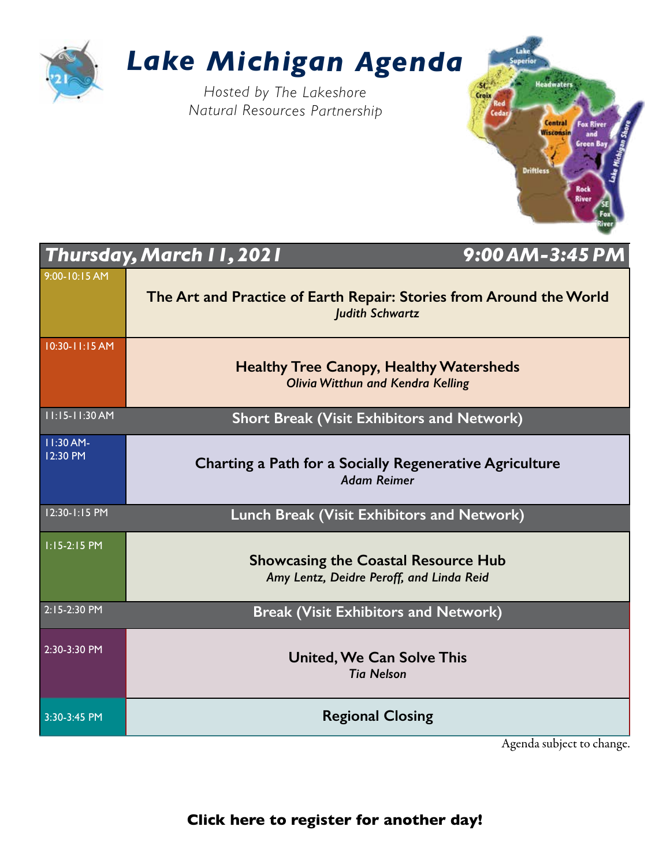

### *Lake Michigan Agenda*

*Hosted by The Lakeshore Natural Resources Partnership*



|                           | 9:00 AM-3:45 PM<br><b>Thursday, March 11, 2021</b>                                            |
|---------------------------|-----------------------------------------------------------------------------------------------|
| 9:00-10:15 AM             | The Art and Practice of Earth Repair: Stories from Around the World<br><b>Judith Schwartz</b> |
| 10:30-11:15 AM            | <b>Healthy Tree Canopy, Healthy Watersheds</b><br><b>Olivia Witthun and Kendra Kelling</b>    |
| $11:15-11:30$ AM          | <b>Short Break (Visit Exhibitors and Network)</b>                                             |
| $11:30$ AM-<br>$12:30$ PM | Charting a Path for a Socially Regenerative Agriculture<br><b>Adam Reimer</b>                 |
| $12:30 - 1:15$ PM         | Lunch Break (Visit Exhibitors and Network)                                                    |
| $1:15-2:15$ PM            | <b>Showcasing the Coastal Resource Hub</b><br>Amy Lentz, Deidre Peroff, and Linda Reid        |
| 2:15-2:30 PM              | <b>Break (Visit Exhibitors and Network)</b>                                                   |
| $2:30-3:30$ PM            | <b>United, We Can Solve This</b><br><b>Tia Nelson</b>                                         |
| 3:30-3:45 PM              | <b>Regional Closing</b>                                                                       |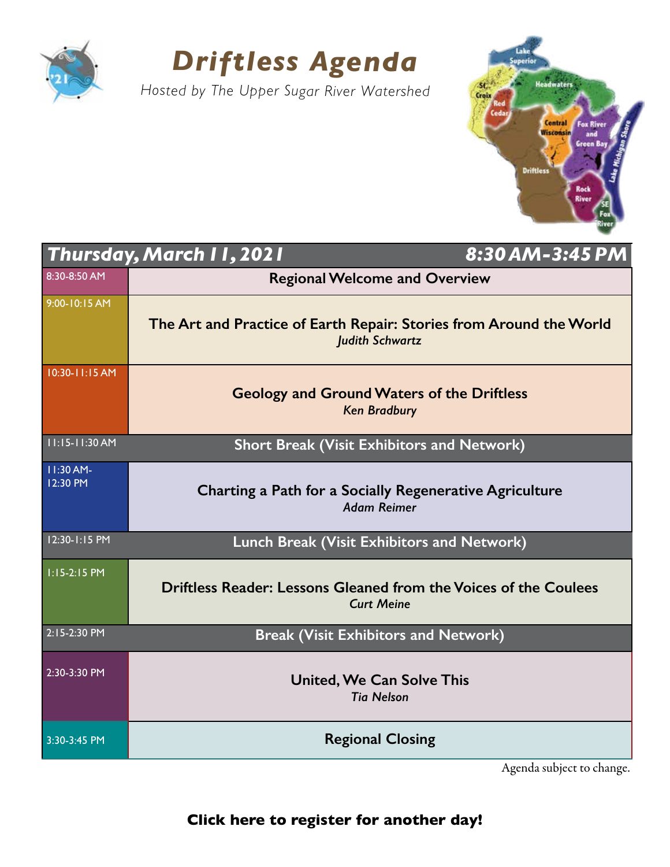

### *Driftless Agenda*

*Hosted by The Upper Sugar River Watershed*



|                       | <b>Thursday, March 11, 2021</b>                                                               | 8:30 AM-3:45 PM |
|-----------------------|-----------------------------------------------------------------------------------------------|-----------------|
| 8:30-8:50 AM          | <b>Regional Welcome and Overview</b>                                                          |                 |
| 9:00-10:15 AM         | The Art and Practice of Earth Repair: Stories from Around the World<br><b>Judith Schwartz</b> |                 |
| 10:30-11:15 AM        | <b>Geology and Ground Waters of the Driftless</b><br><b>Ken Bradbury</b>                      |                 |
| 11:15-11:30 AM        | <b>Short Break (Visit Exhibitors and Network)</b>                                             |                 |
| 11:30 AM-<br>12:30 PM | Charting a Path for a Socially Regenerative Agriculture<br><b>Adam Reimer</b>                 |                 |
| 12:30-1:15 PM         | Lunch Break (Visit Exhibitors and Network)                                                    |                 |
| 1:15-2:15 PM          | Driftless Reader: Lessons Gleaned from the Voices of the Coulees<br><b>Curt Meine</b>         |                 |
| 2:15-2:30 PM          | <b>Break (Visit Exhibitors and Network)</b>                                                   |                 |
| 2:30-3:30 PM          | <b>United, We Can Solve This</b><br><b>Tia Nelson</b>                                         |                 |
| 3:30-3:45 PM          | <b>Regional Closing</b>                                                                       |                 |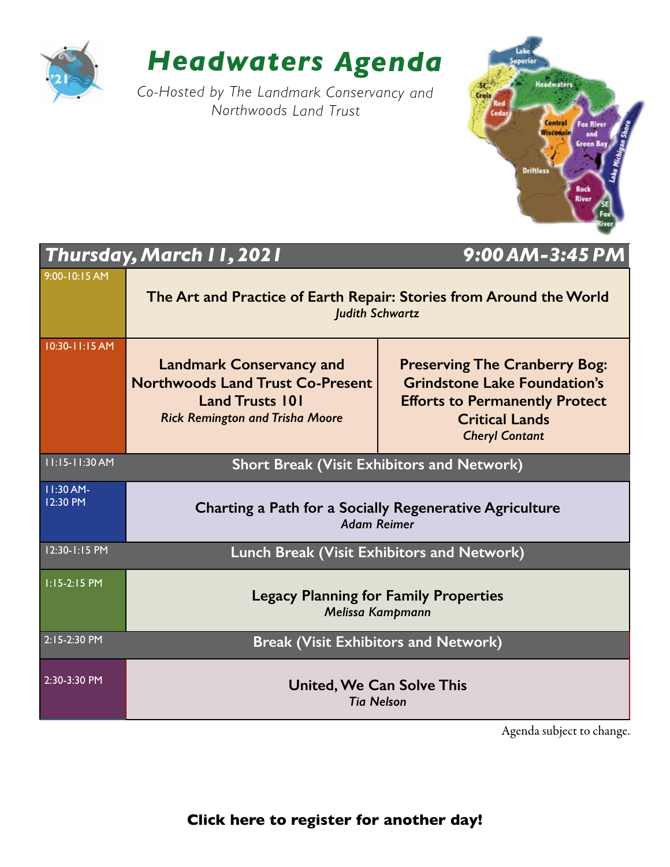

### *Headwaters Agenda*

*Co-Hosted by The Landmark Conservancy and Northwoods Land Trust*



|                         | Thursday, March 11, 2021                                                                                                                       | $9:00$ AM-3:45 PM                                                                                                                                                      |  |
|-------------------------|------------------------------------------------------------------------------------------------------------------------------------------------|------------------------------------------------------------------------------------------------------------------------------------------------------------------------|--|
| 9:00-10:15 AM           | The Art and Practice of Earth Repair: Stories from Around the World<br><b>Judith Schwartz</b>                                                  |                                                                                                                                                                        |  |
| 10:30-11:15 AM          | <b>Landmark Conservancy and</b><br><b>Northwoods Land Trust Co-Present</b><br><b>Land Trusts 101</b><br><b>Rick Remington and Trisha Moore</b> | <b>Preserving The Cranberry Bog:</b><br><b>Grindstone Lake Foundation's</b><br><b>Efforts to Permanently Protect</b><br><b>Critical Lands</b><br><b>Cheryl Contant</b> |  |
| $11:15-11:30 AM$        | <b>Short Break (Visit Exhibitors and Network)</b>                                                                                              |                                                                                                                                                                        |  |
| 11:30 AM-<br>$12:30$ PM | Charting a Path for a Socially Regenerative Agriculture<br><b>Adam Reimer</b>                                                                  |                                                                                                                                                                        |  |
| 12:30-1:15 PM           | <b>Lunch Break (Visit Exhibitors and Network)</b>                                                                                              |                                                                                                                                                                        |  |
| $1:15-2:15$ PM          | <b>Legacy Planning for Family Properties</b><br>Melissa Kampmann                                                                               |                                                                                                                                                                        |  |
| 2:15-2:30 PM            | <b>Break (Visit Exhibitors and Network)</b>                                                                                                    |                                                                                                                                                                        |  |
| $2:30-3:30$ PM          | <b>United, We Can Solve This</b><br><b>Tia Nelson</b>                                                                                          |                                                                                                                                                                        |  |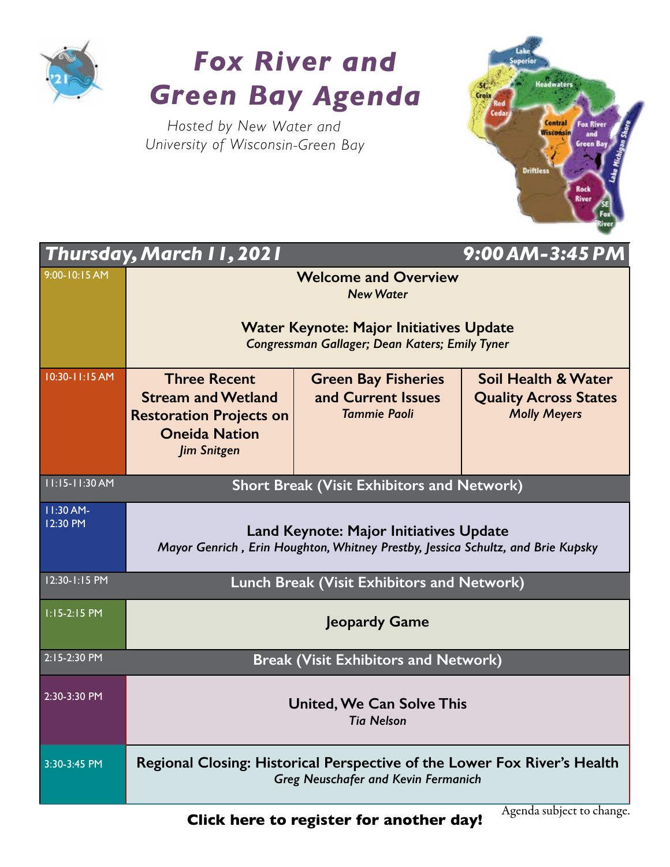

## *Fox River and Green Bay Agenda*

*Hosted by New Water and University of Wisconsin-Green Bay*



|                                                             | 9:00 AM-3:45 PM<br><b>Thursday, March 11, 2021</b>                                                                               |                                                                         |                                                                            |  |  |
|-------------------------------------------------------------|----------------------------------------------------------------------------------------------------------------------------------|-------------------------------------------------------------------------|----------------------------------------------------------------------------|--|--|
| $9:00 - 10:15 AM$                                           | <b>Welcome and Overview</b><br><b>New Water</b>                                                                                  |                                                                         |                                                                            |  |  |
|                                                             | <b>Water Keynote: Major Initiatives Update</b><br>Congressman Gallager; Dean Katers; Emily Tyner                                 |                                                                         |                                                                            |  |  |
| 10:30-11:15 AM                                              | <b>Three Recent</b><br><b>Stream and Wetland</b><br><b>Restoration Projects on</b><br><b>Oneida Nation</b><br><b>Jim Snitgen</b> | <b>Green Bay Fisheries</b><br>and Current Issues<br><b>Tammie Paoli</b> | Soil Health & Water<br><b>Quality Across States</b><br><b>Molly Meyers</b> |  |  |
| 11:15-11:30 AM                                              | <b>Short Break (Visit Exhibitors and Network)</b>                                                                                |                                                                         |                                                                            |  |  |
| 11:30 AM-<br>12:30 PM                                       | <b>Land Keynote: Major Initiatives Update</b><br>Mayor Genrich, Erin Houghton, Whitney Prestby, Jessica Schultz, and Brie Kupsky |                                                                         |                                                                            |  |  |
| 12:30-1:15 PM                                               | Lunch Break (Visit Exhibitors and Network)                                                                                       |                                                                         |                                                                            |  |  |
| $1:15-2:15$ PM                                              | Jeopardy Game                                                                                                                    |                                                                         |                                                                            |  |  |
| 2:15-2:30 PM<br><b>Break (Visit Exhibitors and Network)</b> |                                                                                                                                  |                                                                         |                                                                            |  |  |
| 2:30-3:30 PM                                                | <b>United, We Can Solve This</b><br><b>Tia Nelson</b>                                                                            |                                                                         |                                                                            |  |  |
| 3:30-3:45 PM                                                | Regional Closing: Historical Perspective of the Lower Fox River's Health<br><b>Greg Neuschafer and Kevin Fermanich</b>           |                                                                         |                                                                            |  |  |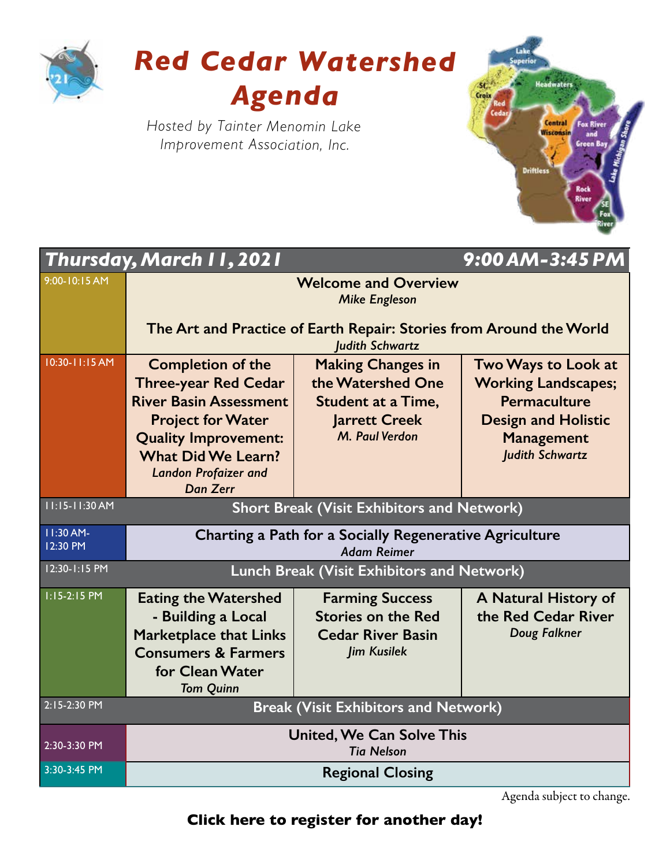

## *Red Cedar Watershed Agenda*

*Hosted by Tainter Menomin Lake Improvement Association, Inc.*



|                                             | <b>Thursday, March 11, 2021</b>                                                               |                           | 9:00 AM-3:45 PM            |
|---------------------------------------------|-----------------------------------------------------------------------------------------------|---------------------------|----------------------------|
| 9:00-10:15 AM                               | <b>Welcome and Overview</b><br><b>Mike Engleson</b>                                           |                           |                            |
|                                             | The Art and Practice of Earth Repair: Stories from Around the World<br><b>Judith Schwartz</b> |                           |                            |
| 10:30-11:15 AM                              | <b>Completion of the</b>                                                                      | <b>Making Changes in</b>  | <b>Two Ways to Look at</b> |
|                                             | <b>Three-year Red Cedar</b>                                                                   | the Watershed One         | <b>Working Landscapes;</b> |
|                                             | <b>River Basin Assessment</b>                                                                 | <b>Student at a Time,</b> | Permaculture               |
|                                             | <b>Project for Water</b>                                                                      | <b>Jarrett Creek</b>      | <b>Design and Holistic</b> |
|                                             | <b>Quality Improvement:</b>                                                                   | M. Paul Verdon            | <b>Management</b>          |
|                                             | <b>What Did We Learn?</b>                                                                     |                           | <b>Judith Schwartz</b>     |
|                                             | <b>Landon Profaizer and</b><br><b>Dan Zerr</b>                                                |                           |                            |
| 11:15-11:30 AM                              | <b>Short Break (Visit Exhibitors and Network)</b>                                             |                           |                            |
| 11:30 AM-<br>12:30 PM                       | Charting a Path for a Socially Regenerative Agriculture<br><b>Adam Reimer</b>                 |                           |                            |
| 12:30-1:15 PM                               | Lunch Break (Visit Exhibitors and Network)                                                    |                           |                            |
| $1:15-2:15$ PM                              | <b>Eating the Watershed</b>                                                                   | <b>Farming Success</b>    | A Natural History of       |
|                                             | - Building a Local                                                                            | <b>Stories on the Red</b> | the Red Cedar River        |
|                                             | <b>Marketplace that Links</b>                                                                 | <b>Cedar River Basin</b>  | Doug Falkner               |
|                                             | <b>Consumers &amp; Farmers</b>                                                                | <b>Jim Kusilek</b>        |                            |
|                                             | for Clean Water                                                                               |                           |                            |
| 2:15-2:30 PM                                | <b>Tom Quinn</b>                                                                              |                           |                            |
| <b>Break (Visit Exhibitors and Network)</b> |                                                                                               |                           |                            |
| 2:30-3:30 PM                                | <b>United, We Can Solve This</b><br><b>Tia Nelson</b>                                         |                           |                            |
| 3:30-3:45 PM                                | <b>Regional Closing</b>                                                                       |                           |                            |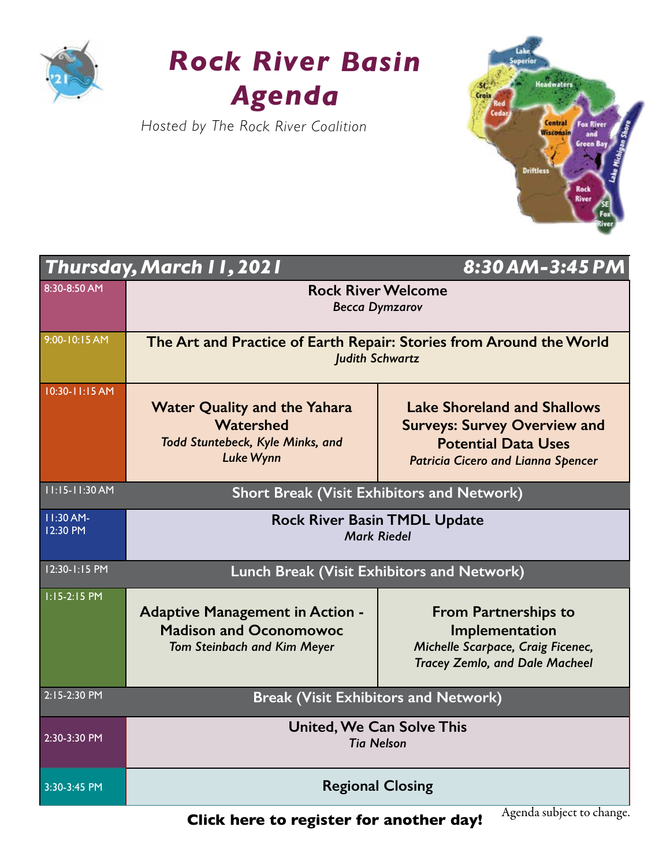

### *Rock River Basin Agenda*

*Hosted by The Rock River Coalition*



|                         | Thursday, March I I, 2021                                                                                     | 8:30 AM-3:45 PM                                                                                                                                      |  |
|-------------------------|---------------------------------------------------------------------------------------------------------------|------------------------------------------------------------------------------------------------------------------------------------------------------|--|
| 8:30-8:50 AM            | <b>Rock River Welcome</b><br><b>Becca Dymzarov</b>                                                            |                                                                                                                                                      |  |
| 9:00-10:15 AM           | The Art and Practice of Earth Repair: Stories from Around the World<br><b>Judith Schwartz</b>                 |                                                                                                                                                      |  |
| 10:30-11:15 AM          | <b>Water Quality and the Yahara</b><br>Watershed<br>Todd Stuntebeck, Kyle Minks, and<br><b>Luke Wynn</b>      | <b>Lake Shoreland and Shallows</b><br><b>Surveys: Survey Overview and</b><br><b>Potential Data Uses</b><br><b>Patricia Cicero and Lianna Spencer</b> |  |
| 11:15-11:30 AM          | <b>Short Break (Visit Exhibitors and Network)</b>                                                             |                                                                                                                                                      |  |
| $11:30$ AM-<br>12:30 PM | <b>Rock River Basin TMDL Update</b><br><b>Mark Riedel</b>                                                     |                                                                                                                                                      |  |
| 12:30-1:15 PM           | Lunch Break (Visit Exhibitors and Network)                                                                    |                                                                                                                                                      |  |
| $1:15-2:15$ PM          | <b>Adaptive Management in Action -</b><br><b>Madison and Oconomowoc</b><br><b>Tom Steinbach and Kim Meyer</b> | <b>From Partnerships to</b><br>Implementation<br>Michelle Scarpace, Craig Ficenec,<br><b>Tracey Zemlo, and Dale Macheel</b>                          |  |
| 2:15-2:30 PM            | <b>Break (Visit Exhibitors and Network)</b>                                                                   |                                                                                                                                                      |  |
| 2:30-3:30 PM            | <b>United, We Can Solve This</b><br><b>Tia Nelson</b>                                                         |                                                                                                                                                      |  |
| 3:30-3:45 PM            | <b>Regional Closing</b>                                                                                       |                                                                                                                                                      |  |

**[Click here to register for another day!](https://wisconsinwaterweek.swoogo.com/wisconsinwaterweek)**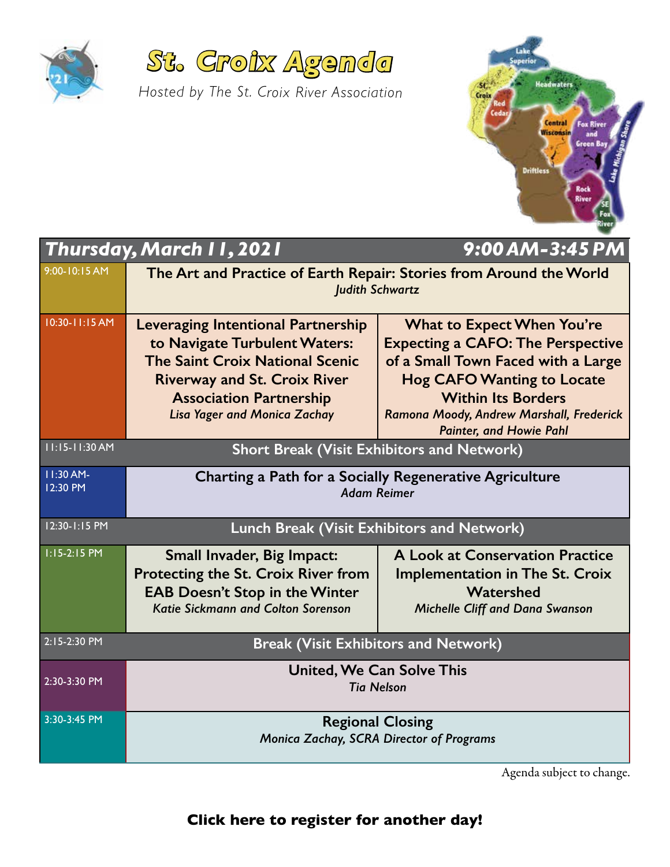



*Hosted by The St. Croix River Association*

| Lake<br><b>Superior</b>                                                                                           |  |
|-------------------------------------------------------------------------------------------------------------------|--|
| <b>Headwaters</b><br>St.<br>Croix<br>Red                                                                          |  |
| Cedar<br><b>Central</b><br>Lake Michigan Shore<br><b>Fox River</b><br><b>Wisconsin</b><br>and<br><b>Green Bay</b> |  |
| <b>Driftless</b><br>Rock                                                                                          |  |
| River<br>SE<br>Fox<br>River                                                                                       |  |
| <u>г.</u><br>$\blacksquare$                                                                                       |  |

|                                                                     | Thursday, March II, 2021                                                                                                                                                                                                             | 9:00 AM-3:45 PM                                                                                                                                                                                                                                                     |  |
|---------------------------------------------------------------------|--------------------------------------------------------------------------------------------------------------------------------------------------------------------------------------------------------------------------------------|---------------------------------------------------------------------------------------------------------------------------------------------------------------------------------------------------------------------------------------------------------------------|--|
| 9:00-10:15 AM                                                       | The Art and Practice of Earth Repair: Stories from Around the World<br><b>Judith Schwartz</b>                                                                                                                                        |                                                                                                                                                                                                                                                                     |  |
| 10:30-11:15 AM                                                      | <b>Leveraging Intentional Partnership</b><br>to Navigate Turbulent Waters:<br><b>The Saint Croix National Scenic</b><br><b>Riverway and St. Croix River</b><br><b>Association Partnership</b><br><b>Lisa Yager and Monica Zachay</b> | <b>What to Expect When You're</b><br><b>Expecting a CAFO: The Perspective</b><br>of a Small Town Faced with a Large<br><b>Hog CAFO Wanting to Locate</b><br><b>Within Its Borders</b><br>Ramona Moody, Andrew Marshall, Frederick<br><b>Painter, and Howie Pahl</b> |  |
| 11:15-11:30 AM<br><b>Short Break (Visit Exhibitors and Network)</b> |                                                                                                                                                                                                                                      |                                                                                                                                                                                                                                                                     |  |
| 11:30 AM-<br>12:30 PM                                               | Charting a Path for a Socially Regenerative Agriculture<br><b>Adam Reimer</b>                                                                                                                                                        |                                                                                                                                                                                                                                                                     |  |
| 12:30-1:15 PM                                                       | <b>Lunch Break (Visit Exhibitors and Network)</b>                                                                                                                                                                                    |                                                                                                                                                                                                                                                                     |  |
| 1:15-2:15 PM                                                        | Small Invader, Big Impact:<br>Protecting the St. Croix River from<br><b>EAB Doesn't Stop in the Winter</b><br><b>Katie Sickmann and Colton Sorenson</b>                                                                              | A Look at Conservation Practice<br><b>Implementation in The St. Croix</b><br>Watershed<br><b>Michelle Cliff and Dana Swanson</b>                                                                                                                                    |  |
| 2:15-2:30 PM                                                        | <b>Break (Visit Exhibitors and Network)</b>                                                                                                                                                                                          |                                                                                                                                                                                                                                                                     |  |
| 2:30-3:30 PM                                                        | <b>United, We Can Solve This</b><br><b>Tia Nelson</b>                                                                                                                                                                                |                                                                                                                                                                                                                                                                     |  |
| 3:30-3:45 PM                                                        | <b>Regional Closing</b><br>Monica Zachay, SCRA Director of Programs                                                                                                                                                                  |                                                                                                                                                                                                                                                                     |  |